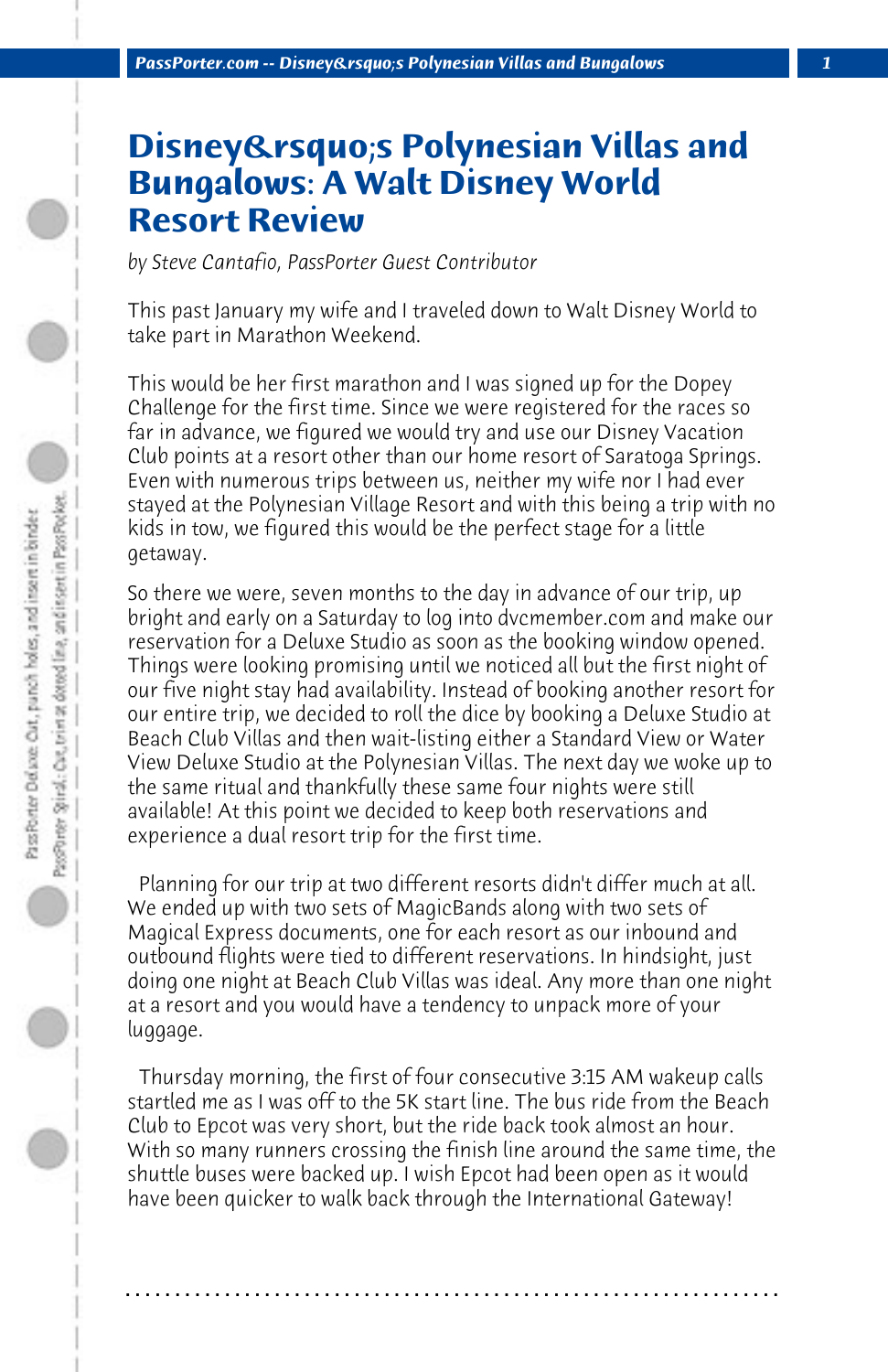## **Disney's Polynesian Villas and Bungalows: A Walt Disney World Resort Review**

*by Steve Cantafio, PassPorter Guest Contributor*

This past January my wife and I traveled down to Walt Disney World to take part in Marathon Weekend.

This would be her first marathon and I was signed up for the Dopey Challenge for the first time. Since we were registered for the races so far in advance, we figured we would try and use our Disney Vacation Club points at a resort other than our home resort of Saratoga Springs. Even with numerous trips between us, neither my wife nor I had ever stayed at the Polynesian Village Resort and with this being a trip with no kids in tow, we figured this would be the perfect stage for a little getaway.

So there we were, seven months to the day in advance of our trip, up bright and early on a Saturday to log into dvcmember.com and make our reservation for a Deluxe Studio as soon as the booking window opened. Things were looking promising until we noticed all but the first night of our five night stay had availability. Instead of booking another resort for our entire trip, we decided to roll the dice by booking a Deluxe Studio at Beach Club Villas and then wait-listing either a Standard View or Water View Deluxe Studio at the Polynesian Villas. The next day we woke up to the same ritual and thankfully these same four nights were still available! At this point we decided to keep both reservations and experience a dual resort trip for the first time.

 Planning for our trip at two different resorts didn't differ much at all. We ended up with two sets of MagicBands along with two sets of Magical Express documents, one for each resort as our inbound and outbound flights were tied to different reservations. In hindsight, just doing one night at Beach Club Villas was ideal. Any more than one night at a resort and you would have a tendency to unpack more of your luggage.

 Thursday morning, the first of four consecutive 3:15 AM wakeup calls startled me as I was off to the 5K start line. The bus ride from the Beach Club to Epcot was very short, but the ride back took almost an hour. With so many runners crossing the finish line around the same time, the shuttle buses were backed up. I wish Epcot had been open as it would have been quicker to walk back through the International Gateway!

**. . . . . . . . . . . . . . . . . . . . . . . . . . . . . . . . . . . . . . . . . . . . . . . . . . . . . . . . . . . . . . . . . .**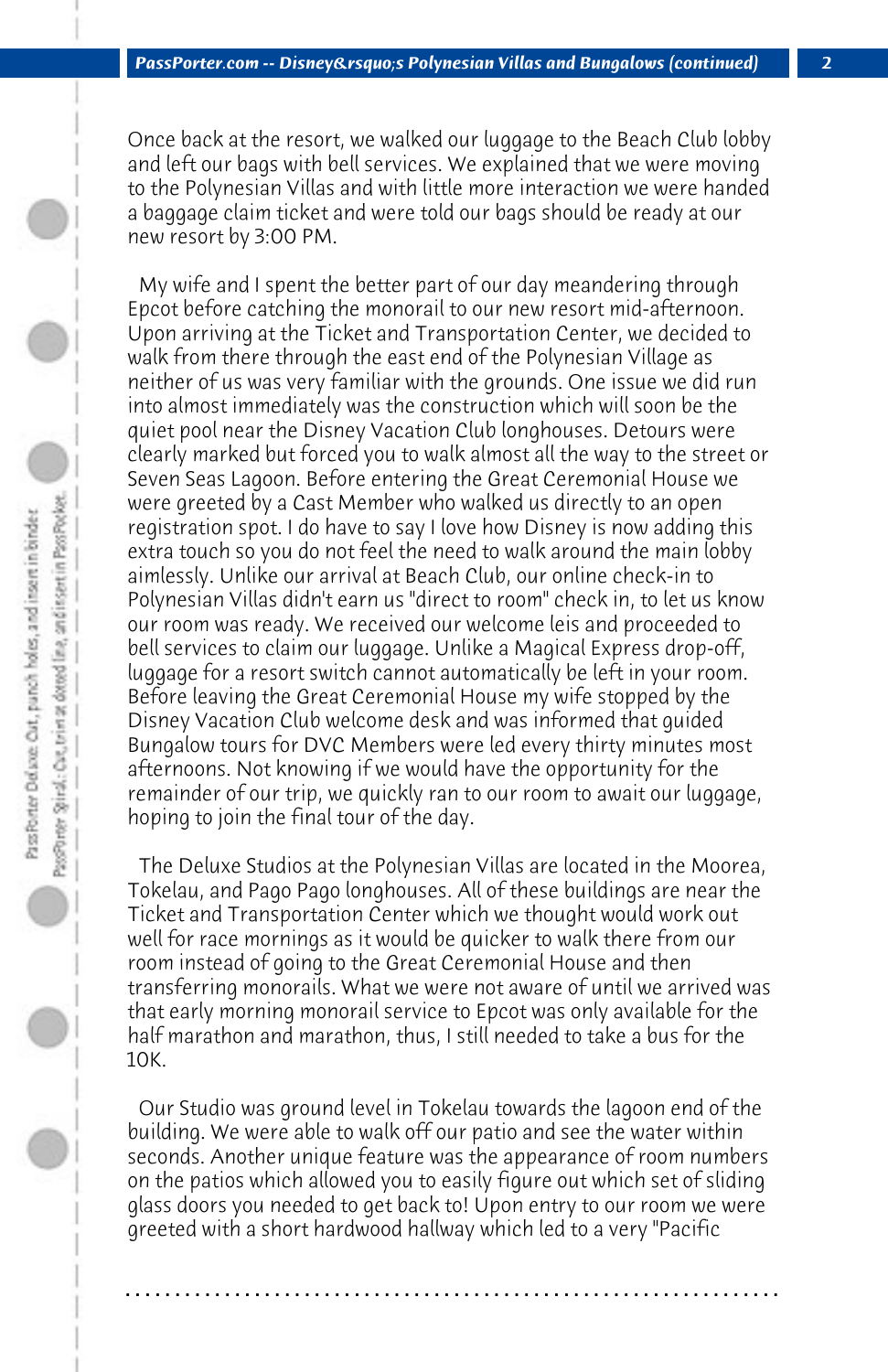Once back at the resort, we walked our luggage to the Beach Club lobby and left our bags with bell services. We explained that we were moving to the Polynesian Villas and with little more interaction we were handed a baggage claim ticket and were told our bags should be ready at our new resort by 3:00 PM.

 My wife and I spent the better part of our day meandering through Epcot before catching the monorail to our new resort mid-afternoon. Upon arriving at the Ticket and Transportation Center, we decided to walk from there through the east end of the Polynesian Village as neither of us was very familiar with the grounds. One issue we did run into almost immediately was the construction which will soon be the quiet pool near the Disney Vacation Club longhouses. Detours were clearly marked but forced you to walk almost all the way to the street or Seven Seas Lagoon. Before entering the Great Ceremonial House we were greeted by a Cast Member who walked us directly to an open registration spot. I do have to say I love how Disney is now adding this extra touch so you do not feel the need to walk around the main lobby aimlessly. Unlike our arrival at Beach Club, our online check-in to Polynesian Villas didn't earn us "direct to room" check in, to let us know our room was ready. We received our welcome leis and proceeded to bell services to claim our luggage. Unlike a Magical Express drop-off, luggage for a resort switch cannot automatically be left in your room. Before leaving the Great Ceremonial House my wife stopped by the Disney Vacation Club welcome desk and was informed that guided Bungalow tours for DVC Members were led every thirty minutes most afternoons. Not knowing if we would have the opportunity for the remainder of our trip, we quickly ran to our room to await our luggage, hoping to join the final tour of the day.

 The Deluxe Studios at the Polynesian Villas are located in the Moorea, Tokelau, and Pago Pago longhouses. All of these buildings are near the Ticket and Transportation Center which we thought would work out well for race mornings as it would be quicker to walk there from our room instead of going to the Great Ceremonial House and then transferring monorails. What we were not aware of until we arrived was that early morning monorail service to Epcot was only available for the half marathon and marathon, thus, I still needed to take a bus for the 10K.

 Our Studio was ground level in Tokelau towards the lagoon end of the building. We were able to walk off our patio and see the water within seconds. Another unique feature was the appearance of room numbers on the patios which allowed you to easily figure out which set of sliding glass doors you needed to get back to! Upon entry to our room we were greeted with a short hardwood hallway which led to a very "Pacific

**. . . . . . . . . . . . . . . . . . . . . . . . . . . . . . . . . . . . . . . . . . . . . . . . . . . . . . . . . . . . . . . . . .**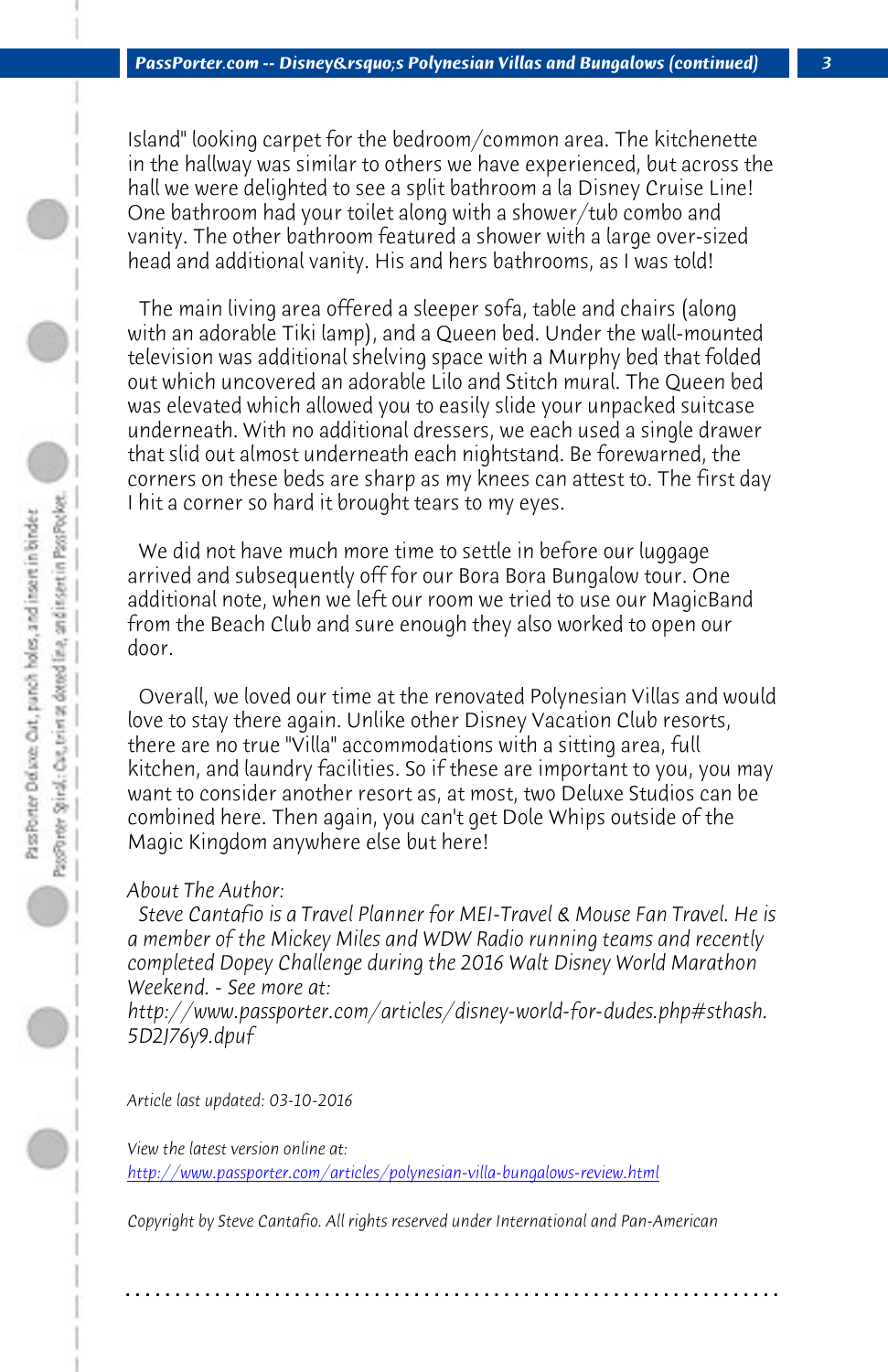*PassPorter.com -- Disney's Polynesian Villas and Bungalows (continued) 3*

Island" looking carpet for the bedroom/common area. The kitchenette in the hallway was similar to others we have experienced, but across the hall we were delighted to see a split bathroom a la Disney Cruise Line! One bathroom had your toilet along with a shower/tub combo and vanity. The other bathroom featured a shower with a large over-sized head and additional vanity. His and hers bathrooms, as I was told!

 The main living area offered a sleeper sofa, table and chairs (along with an adorable Tiki lamp), and a Queen bed. Under the wall-mounted television was additional shelving space with a Murphy bed that folded out which uncovered an adorable Lilo and Stitch mural. The Queen bed was elevated which allowed you to easily slide your unpacked suitcase underneath. With no additional dressers, we each used a single drawer that slid out almost underneath each nightstand. Be forewarned, the corners on these beds are sharp as my knees can attest to. The first day I hit a corner so hard it brought tears to my eyes.

 We did not have much more time to settle in before our luggage arrived and subsequently off for our Bora Bora Bungalow tour. One additional note, when we left our room we tried to use our MagicBand from the Beach Club and sure enough they also worked to open our door.

 Overall, we loved our time at the renovated Polynesian Villas and would love to stay there again. Unlike other Disney Vacation Club resorts, there are no true "Villa" accommodations with a sitting area, full [kitchen, and laundry facilities. So if these are important to y](http://www.passporter.com/articles/polynesian-villa-bungalows-review.php)ou, you may want to consider another resort as, at most, two Deluxe Studios can be combined here. Then again, you can't get Dole Whips outside of the Magic Kingdom anywhere else but here!

*About The Author:* 

 *Steve Cantafio is a Travel Planner for MEI-Travel & Mouse Fan Travel. He is a member of the Mickey Miles and WDW Radio running teams and recently completed Dopey Challenge during the 2016 Walt Disney World Marathon Weekend. - See more at:*

*http://www.passporter.com/articles/disney-world-for-dudes.php#sthash. 5D2J76y9.dpuf*

*Article last updated: 03-10-2016*

*View the latest version online at: http://www.passporter.com/articles/polynesian-villa-bungalows-review.html*

*Copyright by Steve Cantafio. All rights reserved under International and Pan-American*

**. . . . . . . . . . . . . . . . . . . . . . . . . . . . . . . . . . . . . . . . . . . . . . . . . . . . . . . . . . . . . . . . . .**